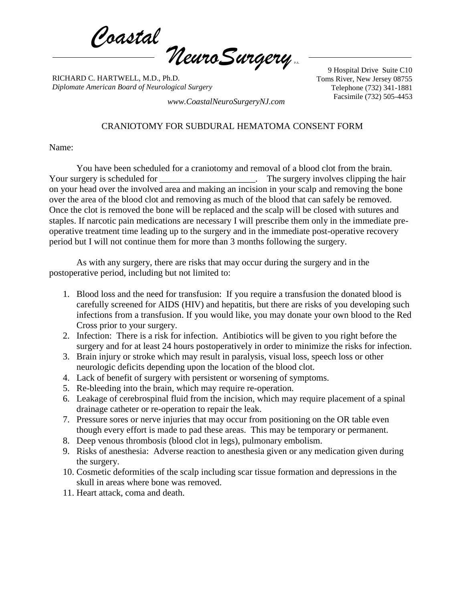*Coastal NeuroSurgery* P.A.

RICHARD C. HARTWELL, M.D., Ph.D. *Diplomate American Board of Neurological Surgery*

9 Hospital Drive Suite C10 Toms River, New Jersey 08755 Telephone (732) 341-1881

Facsimile (732) 505-4453 *www.CoastalNeuroSurgeryNJ.com*

## CRANIOTOMY FOR SUBDURAL HEMATOMA CONSENT FORM

Name:

You have been scheduled for a craniotomy and removal of a blood clot from the brain. Your surgery is scheduled for \_\_\_\_\_\_\_\_\_\_\_\_\_\_\_\_\_\_\_\_\_. The surgery involves clipping the hair on your head over the involved area and making an incision in your scalp and removing the bone over the area of the blood clot and removing as much of the blood that can safely be removed. Once the clot is removed the bone will be replaced and the scalp will be closed with sutures and staples. If narcotic pain medications are necessary I will prescribe them only in the immediate preoperative treatment time leading up to the surgery and in the immediate post-operative recovery period but I will not continue them for more than 3 months following the surgery.

As with any surgery, there are risks that may occur during the surgery and in the postoperative period, including but not limited to:

- 1. Blood loss and the need for transfusion: If you require a transfusion the donated blood is carefully screened for AIDS (HIV) and hepatitis, but there are risks of you developing such infections from a transfusion. If you would like, you may donate your own blood to the Red Cross prior to your surgery.
- 2. Infection: There is a risk for infection. Antibiotics will be given to you right before the surgery and for at least 24 hours postoperatively in order to minimize the risks for infection.
- 3. Brain injury or stroke which may result in paralysis, visual loss, speech loss or other neurologic deficits depending upon the location of the blood clot.
- 4. Lack of benefit of surgery with persistent or worsening of symptoms.
- 5. Re-bleeding into the brain, which may require re-operation.
- 6. Leakage of cerebrospinal fluid from the incision, which may require placement of a spinal drainage catheter or re-operation to repair the leak.
- 7. Pressure sores or nerve injuries that may occur from positioning on the OR table even though every effort is made to pad these areas. This may be temporary or permanent.
- 8. Deep venous thrombosis (blood clot in legs), pulmonary embolism.
- 9. Risks of anesthesia: Adverse reaction to anesthesia given or any medication given during the surgery.
- 10. Cosmetic deformities of the scalp including scar tissue formation and depressions in the skull in areas where bone was removed.
- 11. Heart attack, coma and death.